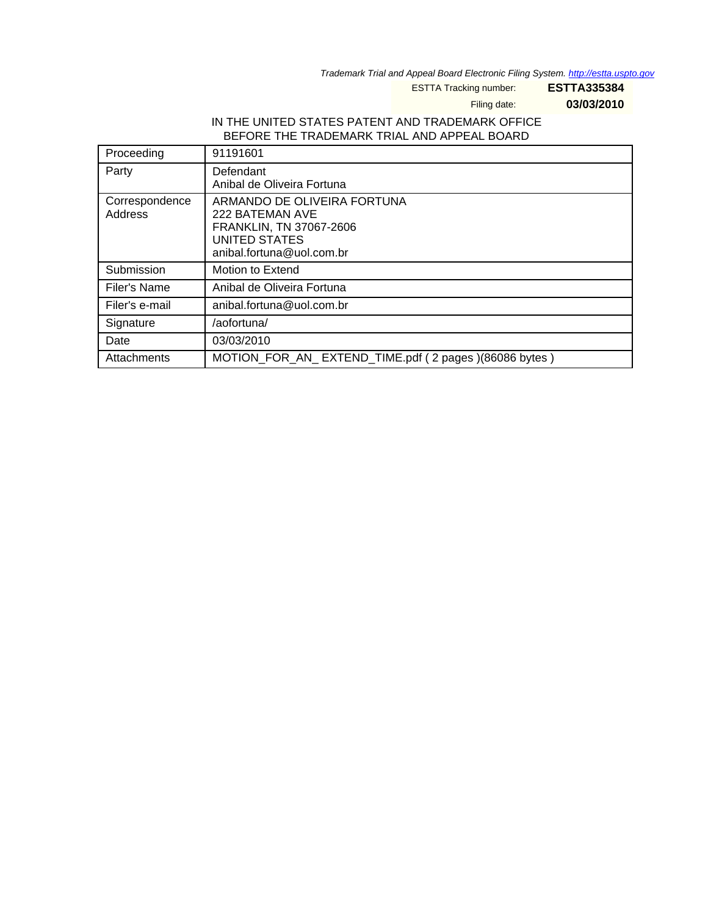Trademark Trial and Appeal Board Electronic Filing System. <http://estta.uspto.gov>

ESTTA Tracking number: **ESTTA335384**

Filing date: **03/03/2010**

#### IN THE UNITED STATES PATENT AND TRADEMARK OFFICE BEFORE THE TRADEMARK TRIAL AND APPEAL BOARD

| Proceeding                | 91191601                                                                                                                |
|---------------------------|-------------------------------------------------------------------------------------------------------------------------|
| Party                     | Defendant<br>Anibal de Oliveira Fortuna                                                                                 |
| Correspondence<br>Address | ARMANDO DE OLIVEIRA FORTUNA<br>222 BATEMAN AVE<br>FRANKLIN, TN 37067-2606<br>UNITED STATES<br>anibal.fortuna@uol.com.br |
| Submission                | Motion to Extend                                                                                                        |
| Filer's Name              | Anibal de Oliveira Fortuna                                                                                              |
| Filer's e-mail            | anibal.fortuna@uol.com.br                                                                                               |
| Signature                 | /aofortuna/                                                                                                             |
| Date                      | 03/03/2010                                                                                                              |
| Attachments               | MOTION_FOR_AN_EXTEND_TIME.pdf (2 pages)(86086 bytes)                                                                    |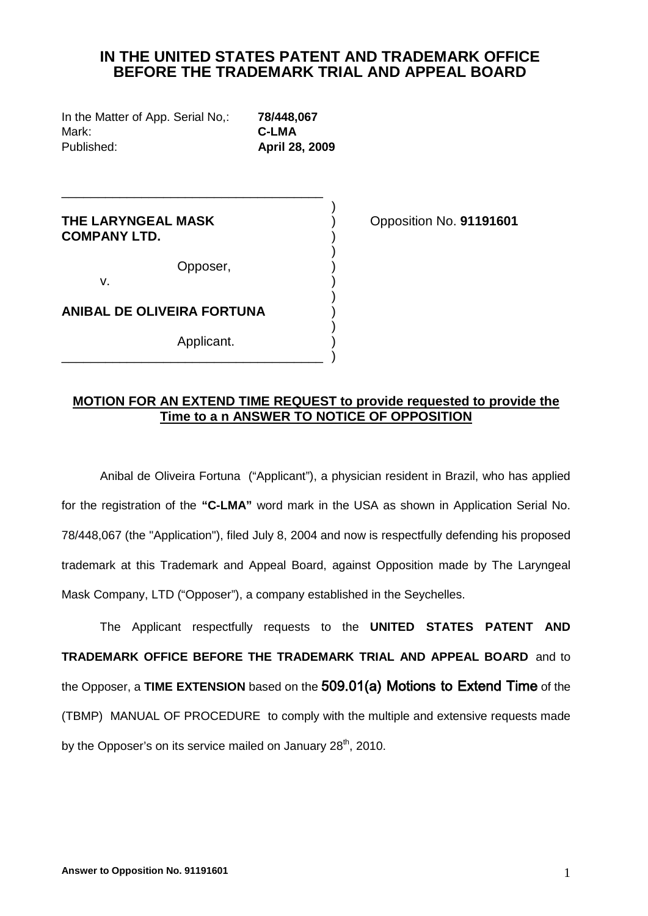# **IN THE UNITED STATES PATENT AND TRADEMARK OFFICE BEFORE THE TRADEMARK TRIAL AND APPEAL BOARD**

In the Matter of App. Serial No,: **78/448,067** Mark: **C-LMA** Published: **April 28, 2009**

) and the contract of  $\overline{a}$ **THE LARYNGEAL MASK** ) Opposition No. **91191601 COMPANY LTD.** )

Opposer, )

)

\_\_\_\_\_\_\_\_\_\_\_\_\_\_\_\_\_\_\_\_\_\_\_\_\_\_\_\_\_\_\_\_\_\_\_\_

v.  $\qquad \qquad \tag{17}$ )

**ANIBAL DE OLIVEIRA FORTUNA** )

) and the contract of  $\overline{a}$ Applicant. \_\_\_\_\_\_\_\_\_\_\_\_\_\_\_\_\_\_\_\_\_\_\_\_\_\_\_\_\_\_\_\_\_\_\_\_ )

### **MOTION FOR AN EXTEND TIME REQUEST to provide requested to provide the Time to a n ANSWER TO NOTICE OF OPPOSITION**

Anibal de Oliveira Fortuna ("Applicant"), a physician resident in Brazil, who has applied for the registration of the **"C-LMA"** word mark in the USA as shown in Application Serial No. 78/448,067 (the "Application"), filed July 8, 2004 and now is respectfully defending his proposed trademark at this Trademark and Appeal Board, against Opposition made by The Laryngeal Mask Company, LTD ("Opposer"), a company established in the Seychelles.

The Applicant respectfully requests to the **UNITED STATES PATENT AND TRADEMARK OFFICE BEFORE THE TRADEMARK TRIAL AND APPEAL BOARD** and to the Opposer, a **TIME EXTENSION** based on the 509.01(a) Motions to Extend Time of the (TBMP) MANUAL OF PROCEDURE to comply with the multiple and extensive requests made by the Opposer's on its service mailed on January  $28<sup>th</sup>$ , 2010.